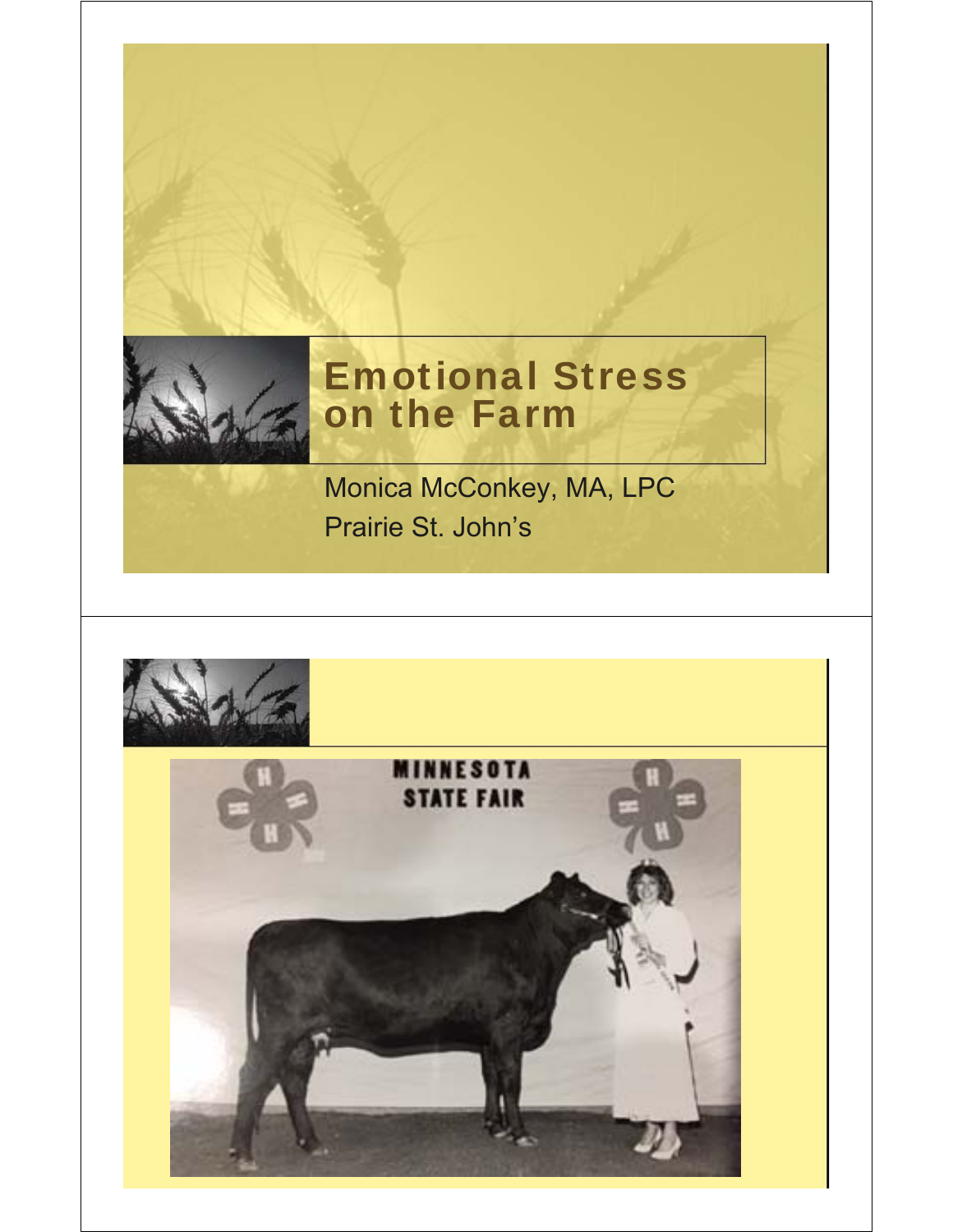

## Emotional Stress on the Farm

Monica McConkey, MA, LPC Prairie St. John's

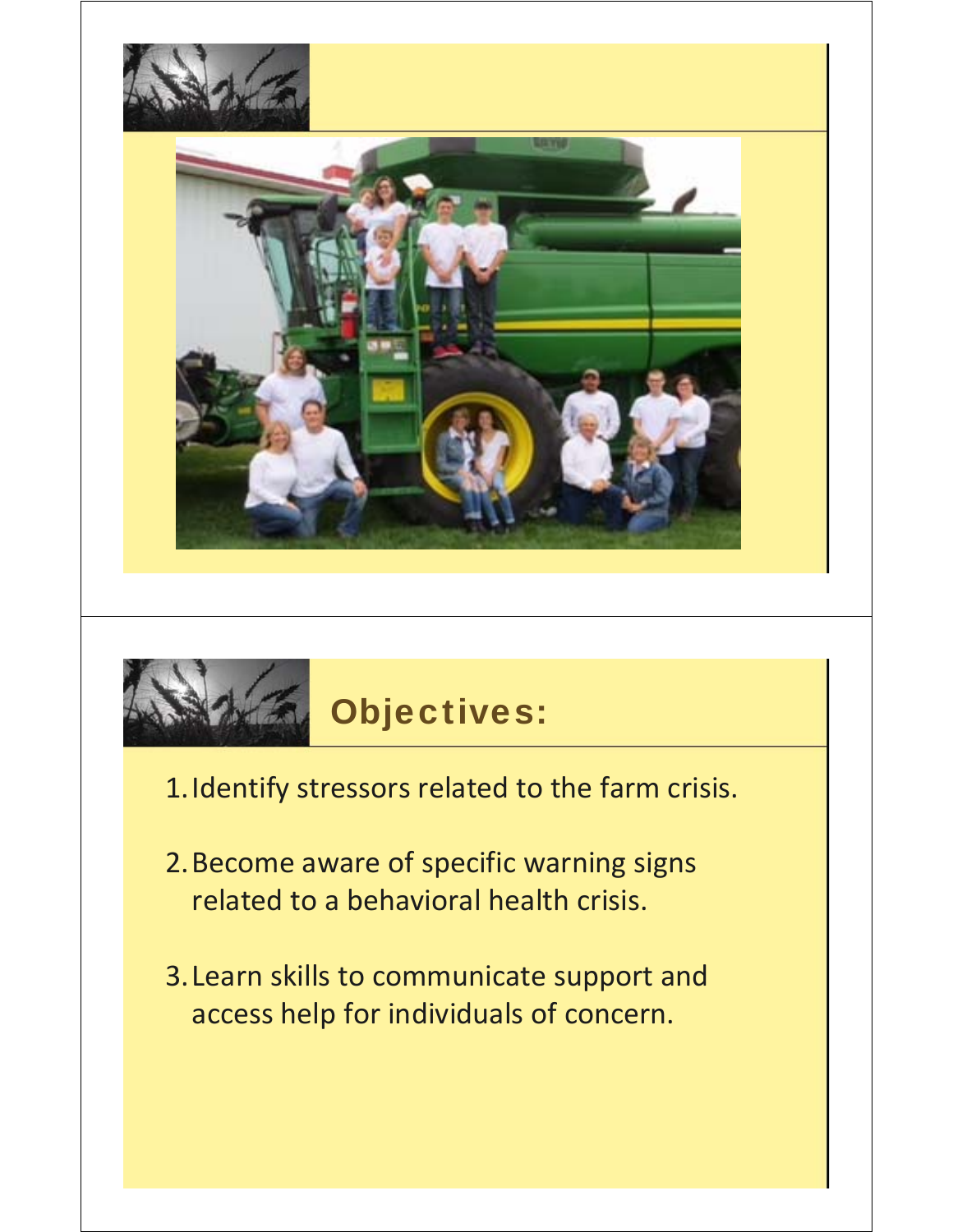



- 1.Identify stressors related to the farm crisis.
- 2.Become aware of specific warning signs related to a behavioral health crisis.
- 3.Learn skills to communicate support and access help for individuals of concern.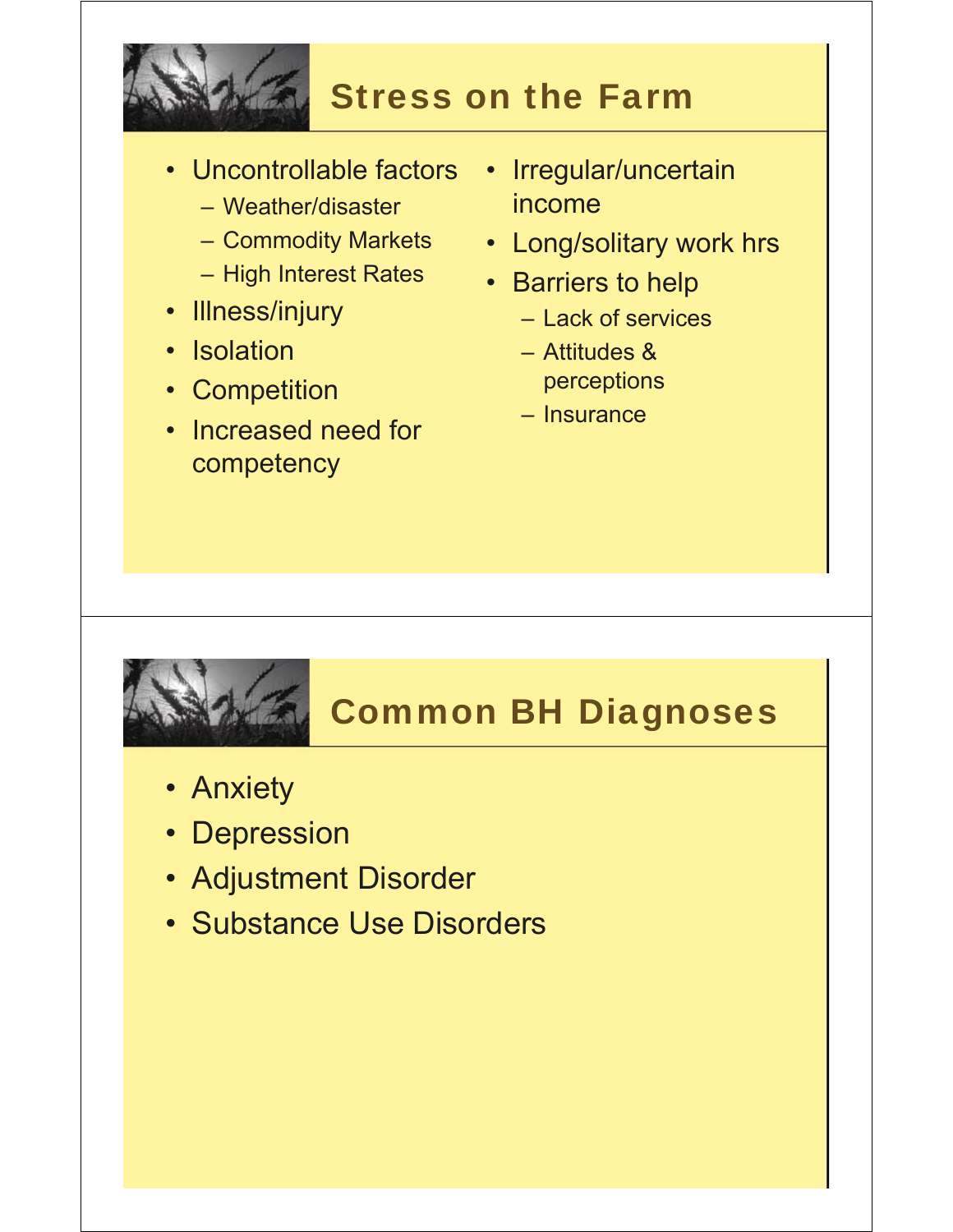

## Stress on the Farm

- Uncontrollable factors
	- Weather/disaster
	- Commodity Markets
	- High Interest Rates
- Illness/injury
- Isolation
- Competition
- Increased need for competency
- Irregular/uncertain income
- Long/solitary work hrs
- Barriers to help
	- Lack of services
	- Attitudes & perceptions
	- Insurance

## Common BH Diagnoses

- Anxiety
- Depression
- Adjustment Disorder
- Substance Use Disorders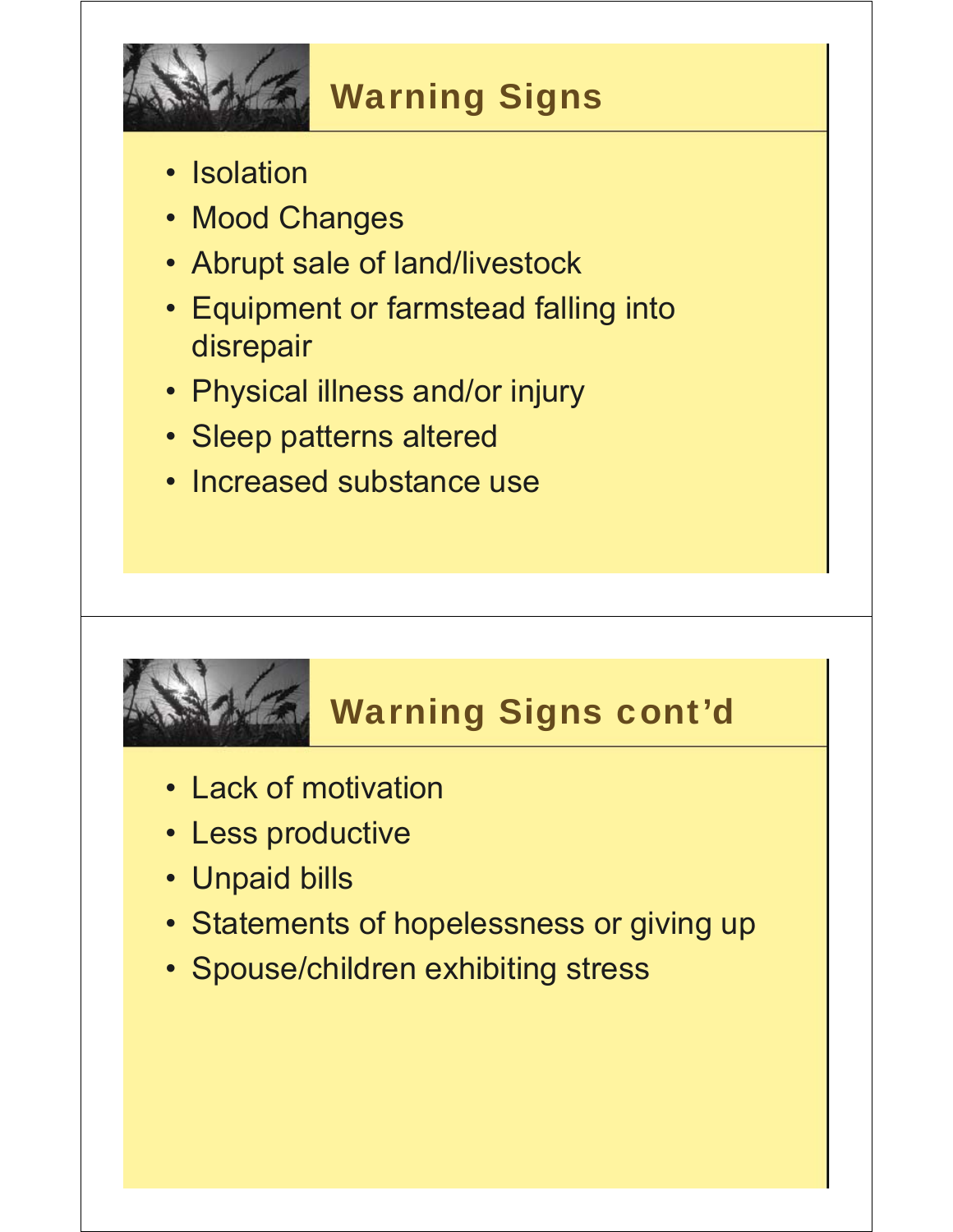

# Warning Signs

- Isolation
- Mood Changes
- Abrupt sale of land/livestock
- Equipment or farmstead falling into disrepair
- Physical illness and/or injury
- Sleep patterns altered
- Increased substance use

# Warning Signs cont'd

- Lack of motivation
- Less productive
- Unpaid bills
- Statements of hopelessness or giving up
- Spouse/children exhibiting stress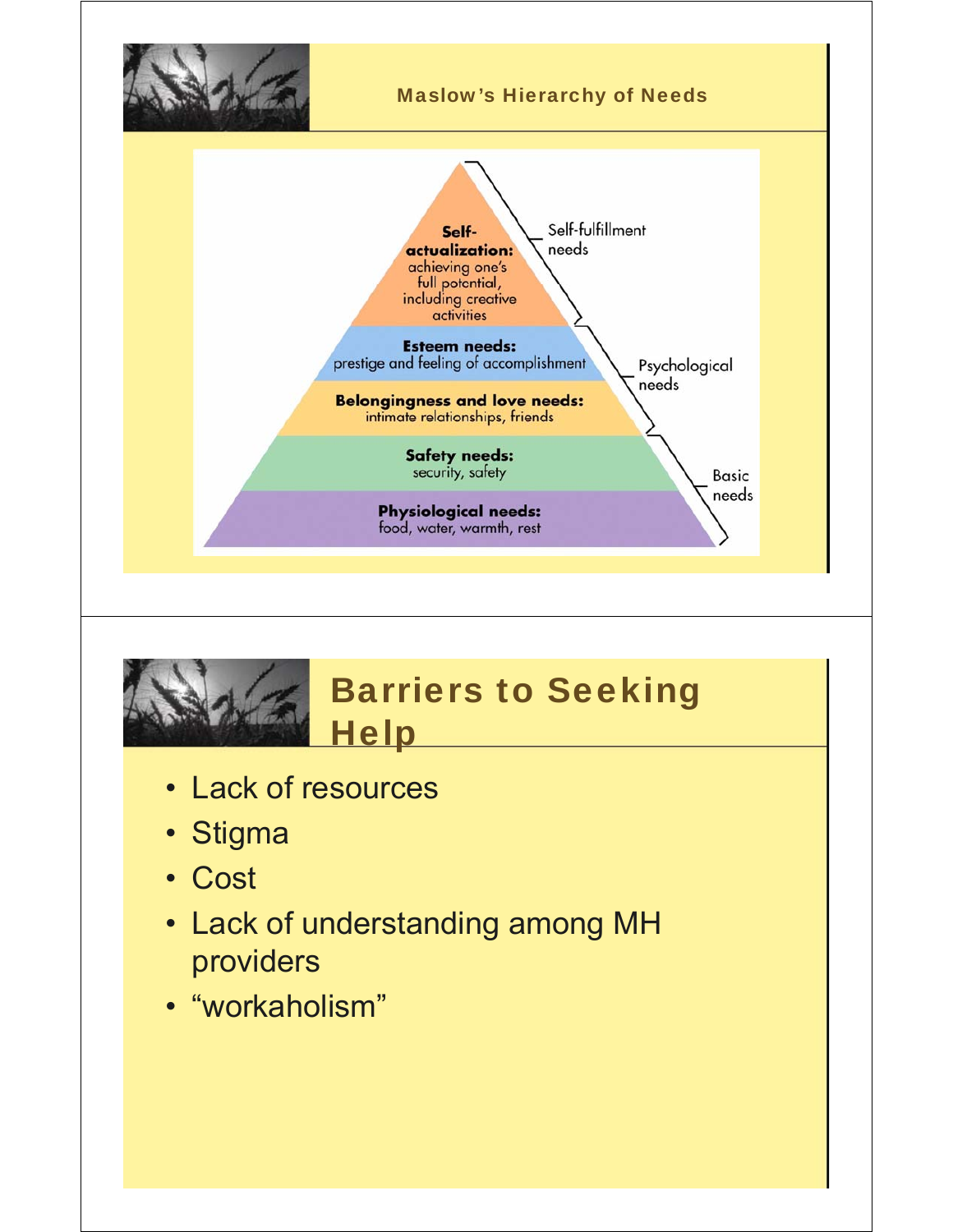



- Lack of resources
- Stigma
- Cost
- Lack of understanding among MH providers
- "workaholism"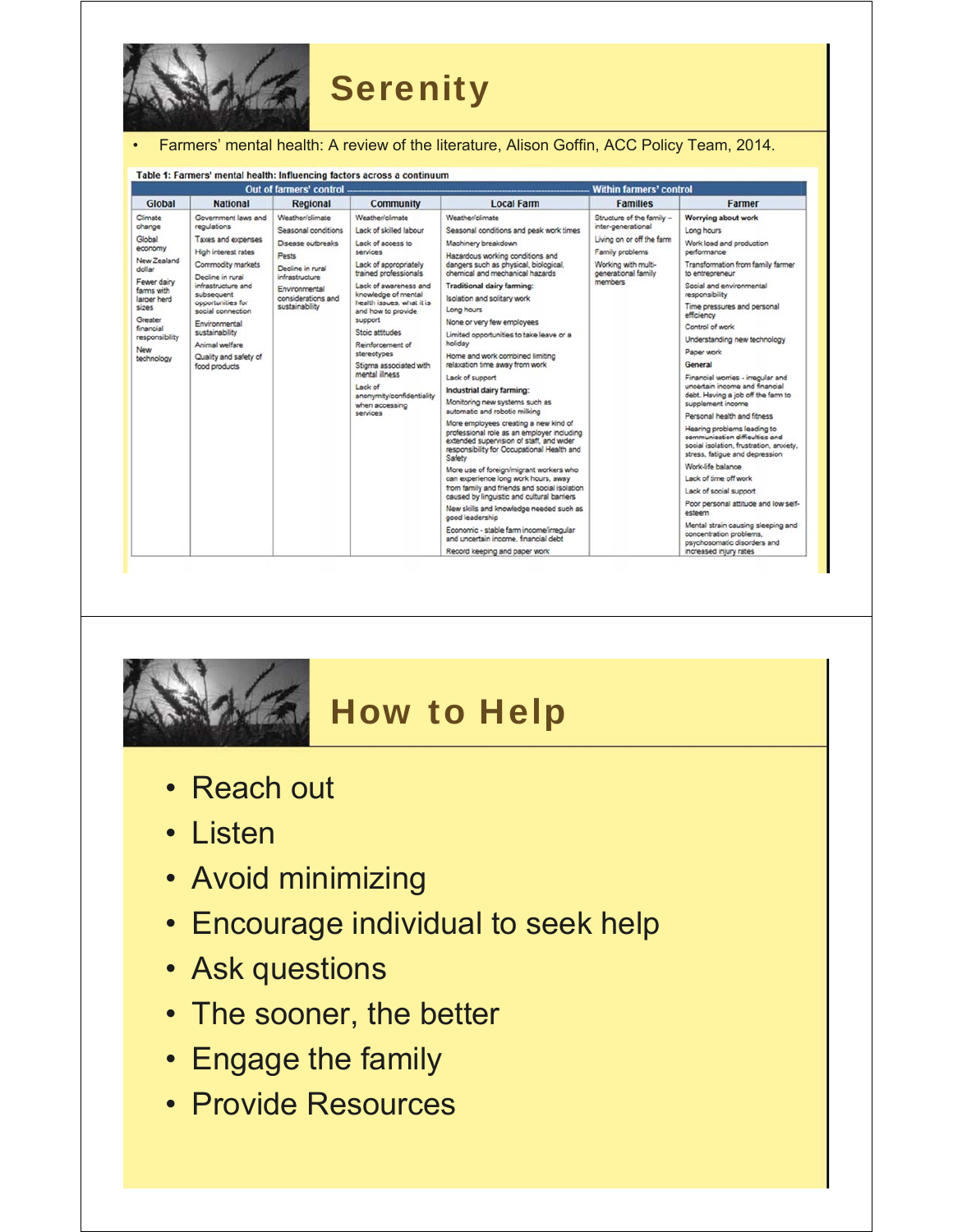

#### • Farmers' mental health: A review of the literature, Alison Goffin, ACC Policy Team, 2014.

| Out of farmers' control                                                                                                                                                             |                                                                                                                                                                                                                                                                                                       |                                                                                                                                                                     |                                                                                                                                                                                                                                                                                                                                                                                                                                  |                                                                                                                                                                                                                                                                                                                                                                                                                                                                                                                                                                                                                                                                                                                                                                                                                                                                                                                                                                                                                                                                                                                                | <b>Within farmers' control</b>                                                                                                                           |                                                                                                                                                                                                                                                                                                                                                                                                                                                                                                                                                                                                                                                                                                                                                                                                                                                                                |
|-------------------------------------------------------------------------------------------------------------------------------------------------------------------------------------|-------------------------------------------------------------------------------------------------------------------------------------------------------------------------------------------------------------------------------------------------------------------------------------------------------|---------------------------------------------------------------------------------------------------------------------------------------------------------------------|----------------------------------------------------------------------------------------------------------------------------------------------------------------------------------------------------------------------------------------------------------------------------------------------------------------------------------------------------------------------------------------------------------------------------------|--------------------------------------------------------------------------------------------------------------------------------------------------------------------------------------------------------------------------------------------------------------------------------------------------------------------------------------------------------------------------------------------------------------------------------------------------------------------------------------------------------------------------------------------------------------------------------------------------------------------------------------------------------------------------------------------------------------------------------------------------------------------------------------------------------------------------------------------------------------------------------------------------------------------------------------------------------------------------------------------------------------------------------------------------------------------------------------------------------------------------------|----------------------------------------------------------------------------------------------------------------------------------------------------------|--------------------------------------------------------------------------------------------------------------------------------------------------------------------------------------------------------------------------------------------------------------------------------------------------------------------------------------------------------------------------------------------------------------------------------------------------------------------------------------------------------------------------------------------------------------------------------------------------------------------------------------------------------------------------------------------------------------------------------------------------------------------------------------------------------------------------------------------------------------------------------|
| Global                                                                                                                                                                              | <b>National</b>                                                                                                                                                                                                                                                                                       | Regional                                                                                                                                                            | <b>Community</b>                                                                                                                                                                                                                                                                                                                                                                                                                 | <b>Local Farm</b>                                                                                                                                                                                                                                                                                                                                                                                                                                                                                                                                                                                                                                                                                                                                                                                                                                                                                                                                                                                                                                                                                                              | <b>Families</b>                                                                                                                                          | Farmer                                                                                                                                                                                                                                                                                                                                                                                                                                                                                                                                                                                                                                                                                                                                                                                                                                                                         |
| Climate<br>change<br>Global<br>economy<br>New Zealand<br>dollar<br>Fewer dairy<br>farms with<br>larger herd<br>sizes<br>Greater<br>financial<br>responsibility<br>New<br>technology | Government laws and<br>regulations<br>Taxes and expenses<br>High interest rates<br>Commodity markets<br>Decline in rural<br>infrastructure and<br>subsequent<br>opportunities for<br>social connection<br>Environmental<br>sustainability<br>Animal welfare<br>Quality and safety of<br>food products | Weather/climate<br>Seasonal conditions<br>Disease outbreaks<br>Pests<br>Decline in rural<br>infrastructure<br>Environmental<br>considerations and<br>sustainability | Weather/climate<br>Lack of skilled labour<br>Lack of access to<br><b>SACVICAS</b><br>Lack of appropriately<br>trained professionals<br>Lack of awareness and<br>knowledge of mental<br>health issues, what it is<br>and how to provide<br>support<br>Stoic attitudes<br>Reinforcement of<br>stereotypes<br>Stigma associated with<br>mental illness<br>Lack of<br>anonymity/confidentiality<br>when accessing<br><b>SALVICAS</b> | Weather/climate<br>Seasonal conditions and peak work times<br>Machinery breakdown<br>Hazardous working conditions and<br>dangers such as physical, biological,<br>chemical and mechanical hazards<br><b>Traditional dairy farming:</b><br>Isolation and solitary work<br>Long hours<br>None or very few employees<br>Limited opportunities to take leave or a<br>holiday<br>Home and work combined limiting<br>relaxation time away from work<br>Lack of support<br>Industrial dairy farming:<br>Monitoring new systems such as<br>automatic and robotic milking<br>More employees creating a new kind of<br>professional role as an employer including<br>extended supervision of staff, and wider<br>responsibility for Occupational Health and<br>Safety<br>More use of foreign/migrant workers who<br>can experience long work hours, away<br>from family and friends and social isolation<br>caused by linguistic and cultural barriers<br>New skills and knowledge needed such as<br>good leadership<br>Economic - stable farm income/irregular<br>and uncertain income, financial debt<br>Record keeping and paper work | Structure of the family -<br>inter-generational<br>Living on or off the farm<br>Family problems<br>Working with multi-<br>generational family<br>members | Worrying about work<br>Long hours<br>Work load and production<br>performance<br>Transformation from family farmer<br>to entreoreneur<br>Social and environmental<br>responsibility<br>Time pressures and personal<br>efficiency<br>Control of work<br>Understanding new technology<br>Paper work<br>General<br>Financial worries - irregular and<br>uncertain income and financial<br>debt. Having a job off the farm to<br>supplement income<br>Personal health and fitness<br>Hearing problems leading to<br>communication difficulties and<br>social isolation, frustration, anxiety,<br>stress, fatigue and depression<br>Work-life balance<br>Lack of time off work<br>Lack of social support<br>Poor personal attitude and low self-<br>esteem<br>Mental strain causing sleeping and<br>concentration problems,<br>psychosomatic disorders and<br>increased injury rates |



#### How to Help

- Reach out
- Listen
- Avoid minimizing
- Encourage individual to seek help
- Ask questions
- The sooner, the better
- Engage the family
- Provide Resources